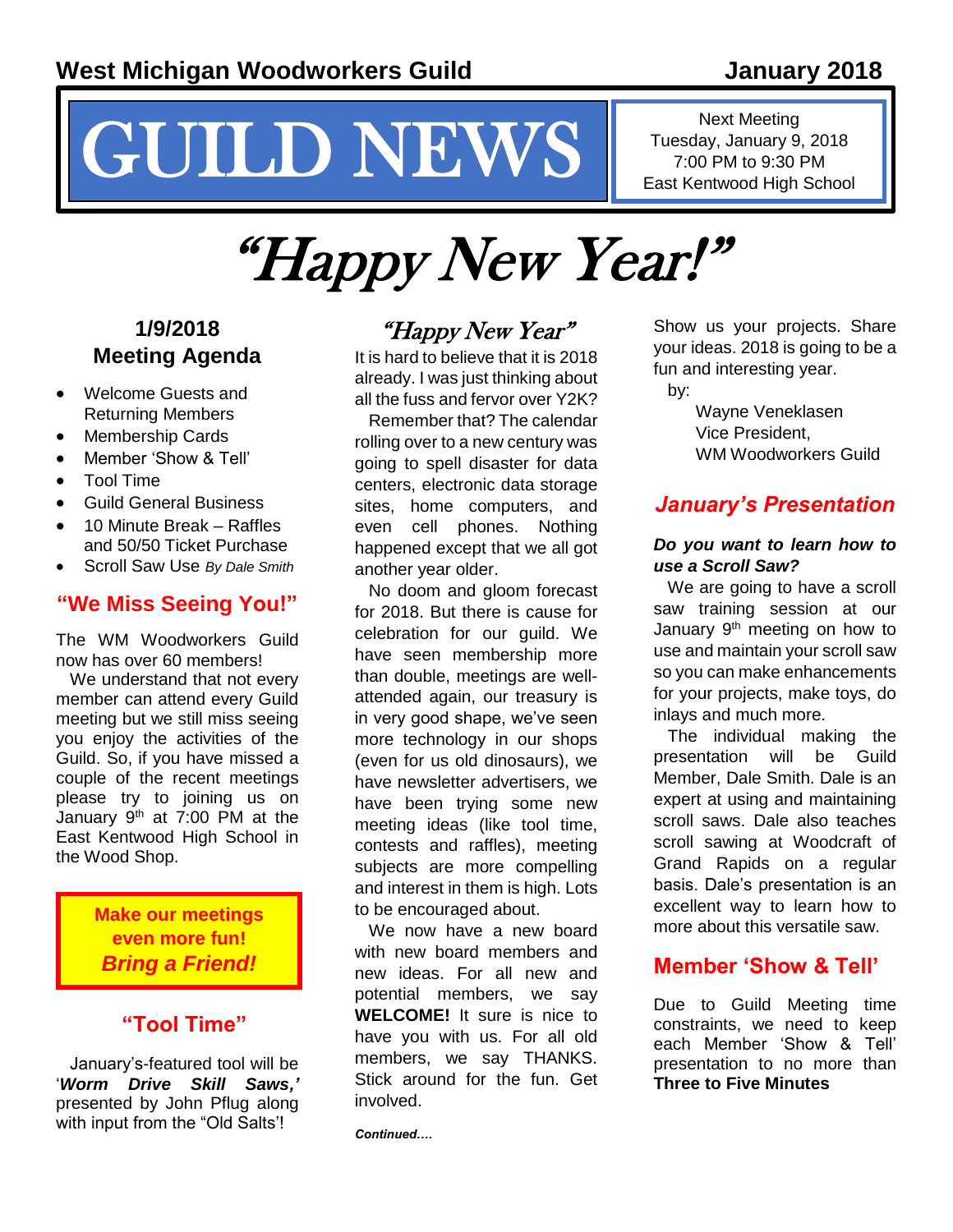# NEWS INS Tuesday, January 9, 2018

## Next Meeting Tuesday, January 9, 2018

## "Happy New Year!"

#### **1/9/2018 Meeting Agenda**

- Welcome Guests and Returning Members
- Membership Cards
- Member 'Show & Tell'
- Tool Time
- Guild General Business
- 10 Minute Break Raffles and 50/50 Ticket Purchase
- Scroll Saw Use *By Dale Smith*

#### **"We Miss Seeing You!"**

The WM Woodworkers Guild now has over 60 members!

We understand that not every member can attend every Guild meeting but we still miss seeing you enjoy the activities of the Guild. So, if you have missed a couple of the recent meetings please try to joining us on January  $9<sup>th</sup>$  at 7:00 PM at the East Kentwood High School in the Wood Shop.

> **Make our meetings even more fun!**  *Bring a Friend!*

#### **"Tool Time"**

January's-featured tool will be '*Worm Drive Skill Saws,'* presented by John Pflug along with input from the "Old Salts'!

#### "Happy New Year"

It is hard to believe that it is 2018 already. I was just thinking about all the fuss and fervor over Y2K?

Remember that? The calendar rolling over to a new century was going to spell disaster for data centers, electronic data storage sites, home computers, and even cell phones. Nothing happened except that we all got another year older.

No doom and gloom forecast for 2018. But there is cause for celebration for our guild. We have seen membership more than double, meetings are wellattended again, our treasury is in very good shape, we've seen more technology in our shops (even for us old dinosaurs), we have newsletter advertisers, we have been trying some new meeting ideas (like tool time, contests and raffles), meeting subjects are more compelling and interest in them is high. Lots to be encouraged about.

We now have a new board with new board members and new ideas. For all new and potential members, we say **WELCOME!** It sure is nice to have you with us. For all old members, we say THANKS. Stick around for the fun. Get involved.

*Continued….*

Show us your projects. Share your ideas. 2018 is going to be a fun and interesting year.

by:

Wayne Veneklasen Vice President, WM Woodworkers Guild

#### *January's Presentation*

#### *Do you want to learn how to use a Scroll Saw?*

We are going to have a scroll saw training session at our January  $9<sup>th</sup>$  meeting on how to use and maintain your scroll saw so you can make enhancements for your projects, make toys, do inlays and much more.

The individual making the presentation will be Guild Member, Dale Smith. Dale is an expert at using and maintaining scroll saws. Dale also teaches scroll sawing at Woodcraft of Grand Rapids on a regular basis. Dale's presentation is an excellent way to learn how to more about this versatile saw.

#### **Member 'Show & Tell'**

Due to Guild Meeting time constraints, we need to keep each Member 'Show & Tell' presentation to no more than **Three to Five Minutes**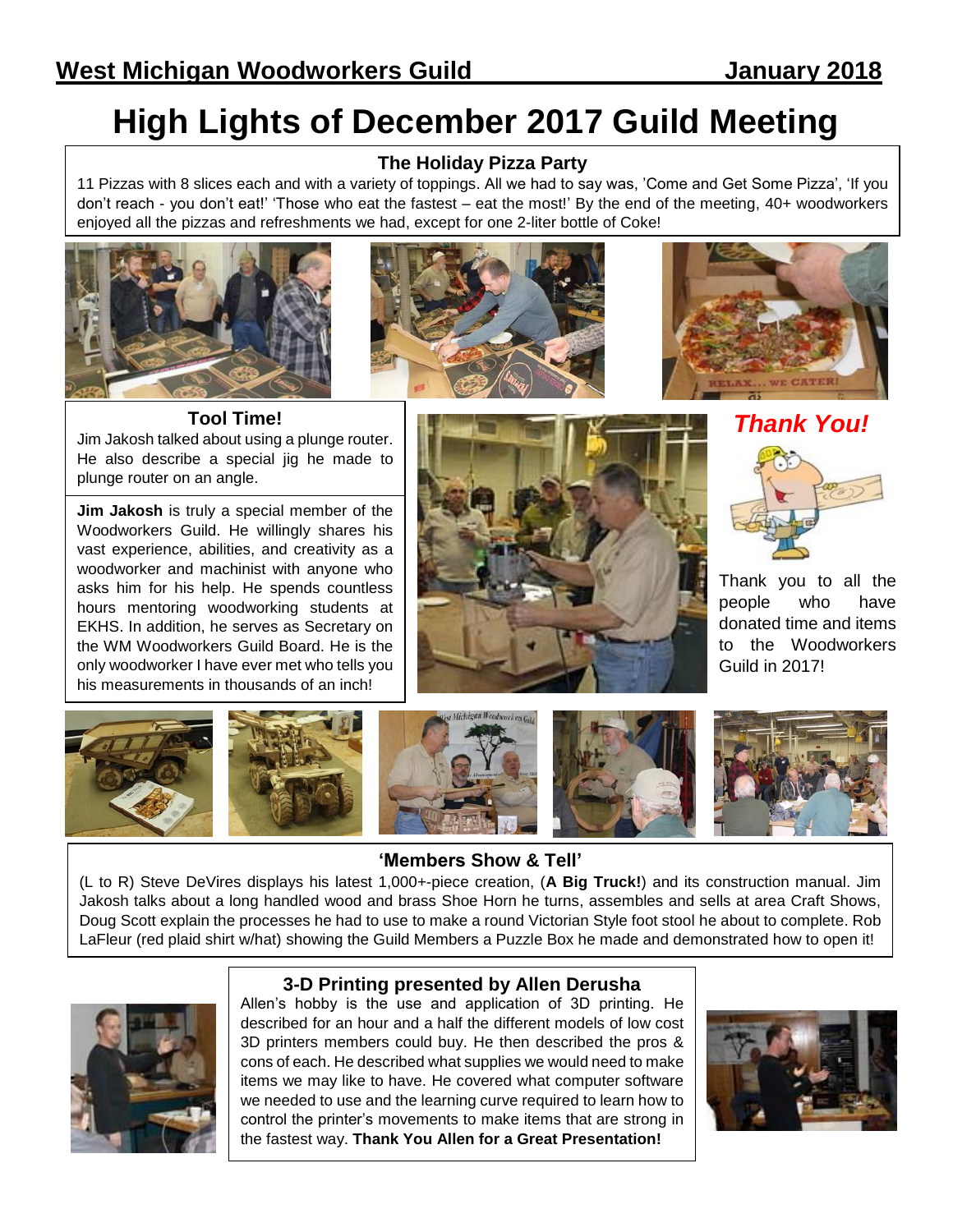### **High Lights of December 2017 Guild Meeting**

#### **The Holiday Pizza Party**

11 Pizzas with 8 slices each and with a variety of toppings. All we had to say was, 'Come and Get Some Pizza', 'If you don't reach - you don't eat!' 'Those who eat the fastest – eat the most!' By the end of the meeting, 40+ woodworkers enjoyed all the pizzas and refreshments we had, except for one 2-liter bottle of Coke!







**Tool Time!** Jim Jakosh talked about using a plunge router. He also describe a special jig he made to plunge router on an angle.

**Jim Jakosh** is truly a special member of the Woodworkers Guild. He willingly shares his vast experience, abilities, and creativity as a woodworker and machinist with anyone who asks him for his help. He spends countless hours mentoring woodworking students at EKHS. In addition, he serves as Secretary on the WM Woodworkers Guild Board. He is the only woodworker I have ever met who tells you his measurements in thousands of an inch!



*Thank You!*



Thank you to all the people who have donated time and items to the Woodworkers Guild in 2017!



#### **'Members Show & Tell'**

(L to R) Steve DeVires displays his latest 1,000+-piece creation, (**A Big Truck!**) and its construction manual. Jim Jakosh talks about a long handled wood and brass Shoe Horn he turns, assembles and sells at area Craft Shows, Doug Scott explain the processes he had to use to make a round Victorian Style foot stool he about to complete. Rob LaFleur (red plaid shirt w/hat) showing the Guild Members a Puzzle Box he made and demonstrated how to open it!



#### **3-D Printing presented by Allen Derusha**

Allen's hobby is the use and application of 3D printing. He described for an hour and a half the different models of low cost 3D printers members could buy. He then described the pros & cons of each. He described what supplies we would need to make items we may like to have. He covered what computer software we needed to use and the learning curve required to learn how to control the printer's movements to make items that are strong in the fastest way. **Thank You Allen for a Great Presentation!**